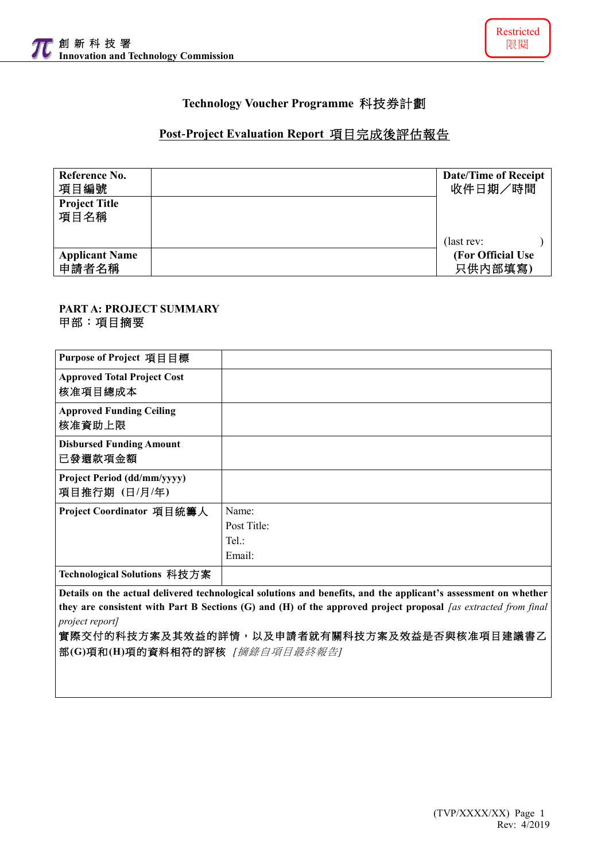

# **Technology Voucher Programme** 科技券計劃

### **Post-Project Evaluation Report** 項目完成後評估報告

| Reference No.<br>項目編號          | <b>Date/Time of Receipt</b><br>收件日期/時間 |
|--------------------------------|----------------------------------------|
| <b>Project Title</b><br>項目名稱   |                                        |
|                                | (last rev:                             |
| <b>Applicant Name</b><br>申請者名稱 | (For Official Use)<br>只供内部填寫)          |

#### **PART A: PROJECT SUMMARY** 甲部:項目摘要

| Purpose of Project 項目目標                                                                                         |             |  |  |  |  |  |
|-----------------------------------------------------------------------------------------------------------------|-------------|--|--|--|--|--|
| <b>Approved Total Project Cost</b><br>核准項目總成本                                                                   |             |  |  |  |  |  |
| <b>Approved Funding Ceiling</b><br>核准資助上限                                                                       |             |  |  |  |  |  |
| <b>Disbursed Funding Amount</b><br>已發還款項金額                                                                      |             |  |  |  |  |  |
| Project Period (dd/mm/yyyy)<br>項目推行期 (日/月/年)                                                                    |             |  |  |  |  |  |
| Project Coordinator 項目統籌人                                                                                       | Name:       |  |  |  |  |  |
|                                                                                                                 | Post Title: |  |  |  |  |  |
|                                                                                                                 | $Tel.$ :    |  |  |  |  |  |
|                                                                                                                 | Email:      |  |  |  |  |  |
| Technological Solutions 科技方案                                                                                    |             |  |  |  |  |  |
| Details on the actual delivered technological solutions and benefits, and the applicant's assessment on whether |             |  |  |  |  |  |

**they are consistent with Part B Sections (G) and (H) of the approved project proposal** *[as extracted from final project report]*

## 實際交付的科技方案及其效益的詳情,以及申請者就有關科技方案及效益是否與核准項目建議書乙 部**(G)**項和**(H)**項的資料相符的評核 *[*摘錄自項目最終報告*]*